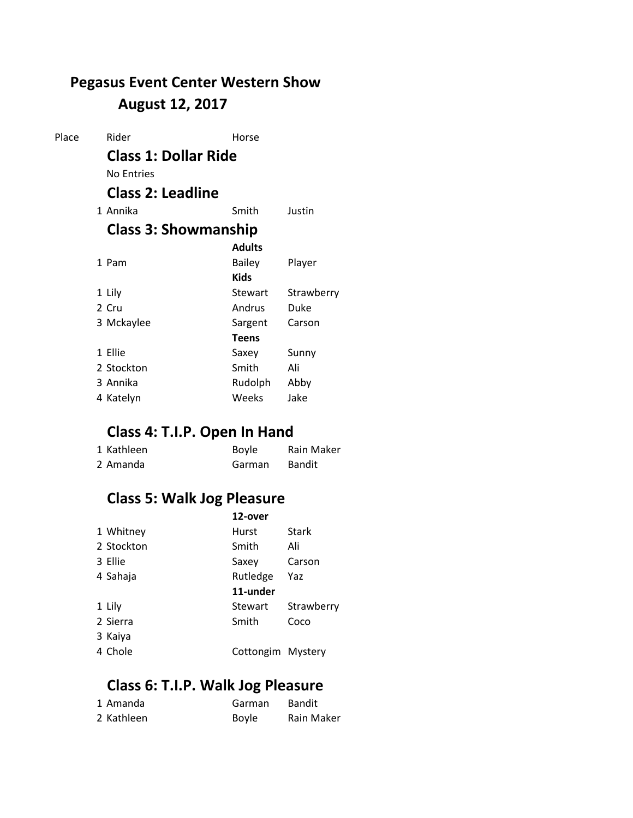## **August 12, 2017 Pegasus Event Center Western Show**

| Rider             | Horse         |                                                                                        |
|-------------------|---------------|----------------------------------------------------------------------------------------|
|                   |               |                                                                                        |
| <b>No Entries</b> |               |                                                                                        |
|                   |               |                                                                                        |
| 1 Annika          | Smith         | Justin                                                                                 |
|                   |               |                                                                                        |
|                   | <b>Adults</b> |                                                                                        |
| 1 Pam             | Bailey        | Player                                                                                 |
|                   | <b>Kids</b>   |                                                                                        |
| 1 Lily            | Stewart       | Strawberry                                                                             |
| 2 Cru             | Andrus        | Duke                                                                                   |
| 3 Mckaylee        | Sargent       | Carson                                                                                 |
|                   | <b>Teens</b>  |                                                                                        |
| 1 Ellie           | Saxey         | Sunny                                                                                  |
| 2 Stockton        | Smith         | Ali                                                                                    |
| 3 Annika          | Rudolph       | Abby                                                                                   |
| 4 Katelyn         | Weeks         | Jake                                                                                   |
|                   |               | <b>Class 1: Dollar Ride</b><br><b>Class 2: Leadline</b><br><b>Class 3: Showmanship</b> |

## **Class 4: T.I.P. Open In Hand**

| 1 Kathleen | <b>Boyle</b> | Rain Maker    |
|------------|--------------|---------------|
| 2 Amanda   | Garman       | <b>Bandit</b> |

# **Class 5: Walk Jog Pleasure**

| Stark      |
|------------|
|            |
| Carson     |
|            |
|            |
|            |
| Strawberry |
| Coco       |
|            |
|            |

## **Class 6: T.I.P. Walk Jog Pleasure**

| 1 Amanda   | Garman       | <b>Bandit</b> |
|------------|--------------|---------------|
| 2 Kathleen | <b>Boyle</b> | Rain Maker    |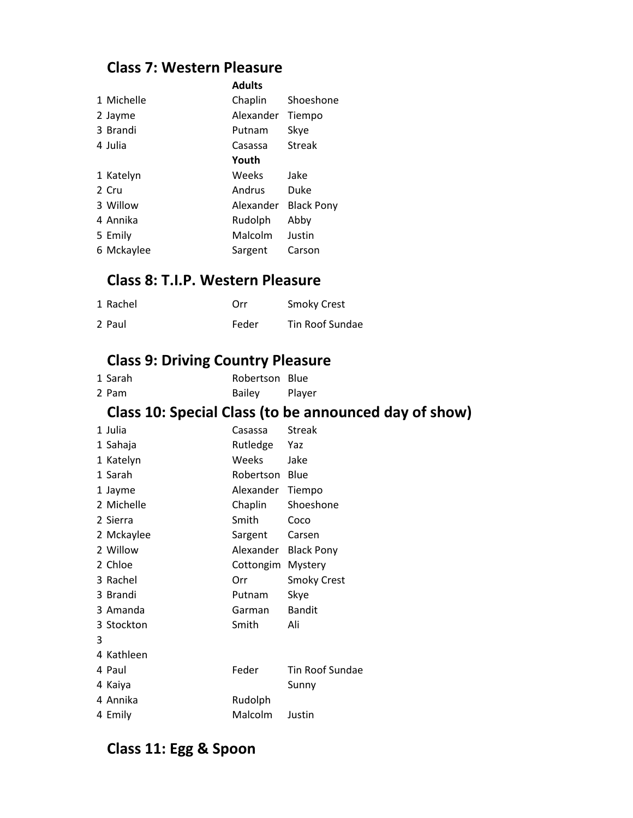### **Class 7: Western Pleasure**

|            | Adults    |                   |
|------------|-----------|-------------------|
| 1 Michelle | Chaplin   | Shoeshone         |
| 2 Jayme    | Alexander | Tiempo            |
| 3 Brandi   | Putnam    | Skye              |
| 4 Julia    | Casassa   | Streak            |
|            | Youth     |                   |
| 1 Katelyn  | Weeks     | Jake              |
| 2 Cru      | Andrus    | Duke              |
| 3 Willow   | Alexander | <b>Black Pony</b> |
| 4 Annika   | Rudolph   | Abby              |
| 5 Emily    | Malcolm   | Justin            |
| 6 Mckaylee | Sargent   | Carson            |

**Adults**

#### **Class 8: T.I.P. Western Pleasure**

| 1 Rachel | Orr   | <b>Smoky Crest</b> |
|----------|-------|--------------------|
| 2 Paul   | Feder | Tin Roof Sundae    |

## **Class 9: Driving Country Pleasure**

| 1 Sarah | Robertson Blue |        |
|---------|----------------|--------|
| 2 Pam   | <b>Bailey</b>  | Player |

## **Class 10: Special Class (to be announced day of show)**

|   | 1 Julia    | Casassa   | <b>Streak</b>      |
|---|------------|-----------|--------------------|
|   | 1 Sahaja   | Rutledge  | Yaz                |
|   | 1 Katelyn  | Weeks     | Jake               |
|   | 1 Sarah    | Robertson | Blue               |
|   | 1 Jayme    | Alexander | Tiempo             |
|   | 2 Michelle | Chaplin   | Shoeshone          |
|   | 2 Sierra   | Smith     | Coco               |
|   | 2 Mckaylee | Sargent   | Carsen             |
|   | 2 Willow   | Alexander | <b>Black Pony</b>  |
|   | 2 Chloe    | Cottongim | Mystery            |
|   |            |           |                    |
|   | 3 Rachel   | Orr       | <b>Smoky Crest</b> |
|   | 3 Brandi   | Putnam    | Skye               |
|   | 3 Amanda   | Garman    | <b>Bandit</b>      |
|   | 3 Stockton | Smith     | Ali                |
| 3 |            |           |                    |
|   | 4 Kathleen |           |                    |
|   | 4 Paul     | Feder     | Tin Roof Sundae    |
|   | 4 Kaiya    |           | Sunny              |
|   | 4 Annika   | Rudolph   |                    |

## **Class 11: Egg & Spoon**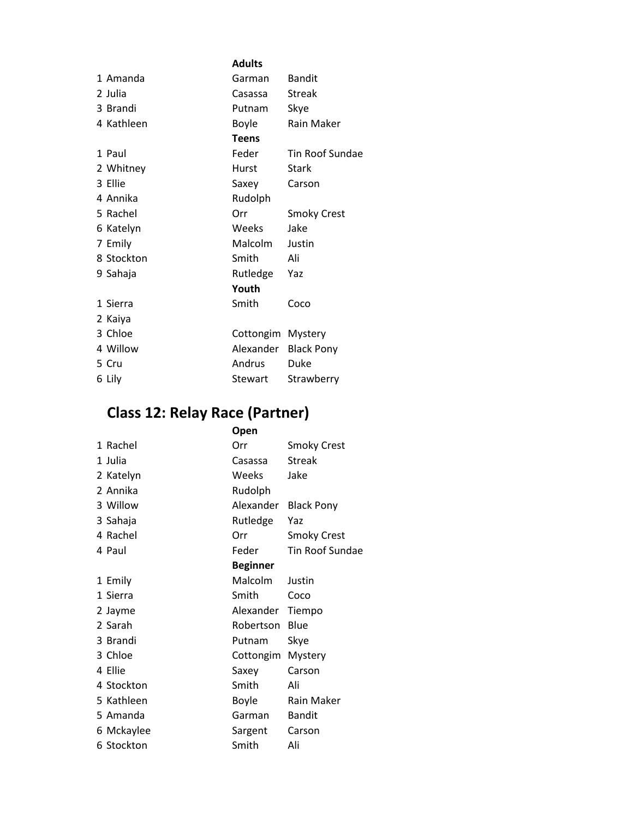|            | <b>Adults</b> |                    |
|------------|---------------|--------------------|
| 1 Amanda   | Garman        | <b>Bandit</b>      |
| 2 Julia    | Casassa       | <b>Streak</b>      |
| 3 Brandi   | Putnam        | Skye               |
| 4 Kathleen | Boyle         | <b>Rain Maker</b>  |
|            | <b>Teens</b>  |                    |
| 1 Paul     | Feder         | Tin Roof Sundae    |
| 2 Whitney  | Hurst         | Stark              |
| 3 Ellie    | Saxey         | Carson             |
| 4 Annika   | Rudolph       |                    |
| 5 Rachel   | Orr           | <b>Smoky Crest</b> |
| 6 Katelyn  | Weeks         | Jake               |
| 7 Emily    | Malcolm       | Justin             |
| 8 Stockton | Smith         | Ali                |
| 9 Sahaja   | Rutledge      | Yaz                |
|            | Youth         |                    |
| 1 Sierra   | Smith         | Coco               |
| 2 Kaiya    |               |                    |
| 3 Chloe    | Cottongim     | Mystery            |
| 4 Willow   | Alexander     | <b>Black Pony</b>  |
| 5 Cru      | Andrus        | Duke               |
| 6 Lily     | Stewart       | Strawberry         |

#### **Class 12: Relay Race (Partner)**

|            | Open            |                    |
|------------|-----------------|--------------------|
| 1 Rachel   | Orr             | <b>Smoky Crest</b> |
| 1 Julia    | Casassa         | <b>Streak</b>      |
| 2 Katelyn  | Weeks           | Jake               |
| 2 Annika   | Rudolph         |                    |
| 3 Willow   | Alexander       | <b>Black Pony</b>  |
| 3 Sahaja   | Rutledge        | Yaz                |
| 4 Rachel   | Orr             | <b>Smoky Crest</b> |
| 4 Paul     | Feder           | Tin Roof Sundae    |
|            | <b>Beginner</b> |                    |
| 1 Emily    | Malcolm         | Justin             |
| 1 Sierra   | Smith           | Coco               |
| 2 Jayme    | Alexander       | Tiempo             |
| 2 Sarah    | Robertson       | Blue               |
| 3 Brandi   | Putnam          | Skye               |
| 3 Chloe    | Cottongim       | Mystery            |
| 4 Ellie    | Saxey           | Carson             |
| 4 Stockton | Smith           | Ali                |
| 5 Kathleen | Boyle           | Rain Maker         |
| 5 Amanda   | Garman          | <b>Bandit</b>      |
| 6 Mckaylee | Sargent         | Carson             |
| 6 Stockton | Smith           | Ali                |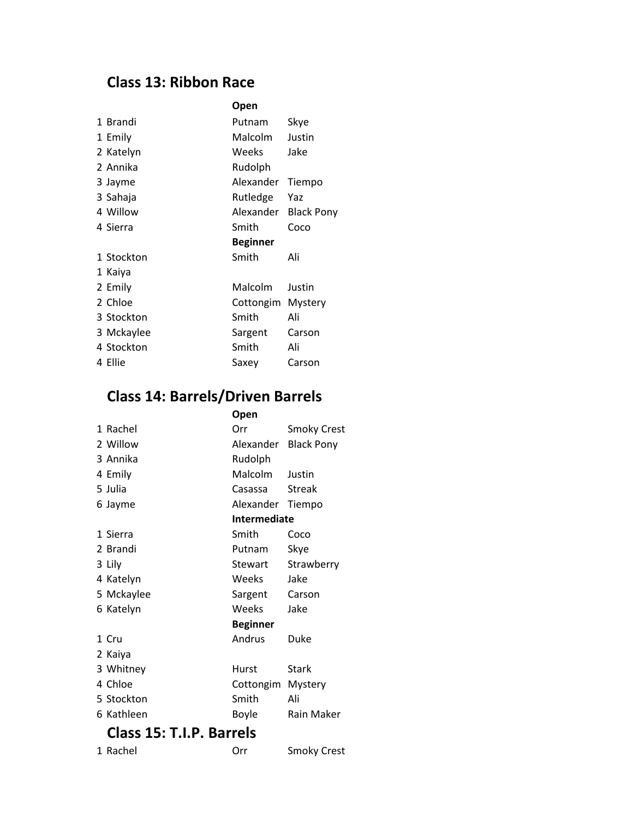#### **Class 13: Ribbon Race**

|            | Open            |                   |
|------------|-----------------|-------------------|
| 1 Brandi   | Putnam          | Skye              |
| 1 Emily    | <b>Malcolm</b>  | Justin            |
| 2 Katelyn  | Weeks           | Jake              |
| 2 Annika   | Rudolph         |                   |
| 3 Jayme    | Alexander       | Tiempo            |
| 3 Sahaja   | Rutledge        | Yaz               |
| 4 Willow   | Alexander       | <b>Black Pony</b> |
| 4 Sierra   | Smith           | Coco              |
|            | <b>Beginner</b> |                   |
| 1 Stockton | Smith           | Ali               |
| 1 Kaiya    |                 |                   |
| 2 Emily    | Malcolm         | Justin            |
| 2 Chloe    | Cottongim       | Mystery           |
| 3 Stockton | Smith           | Ali               |
| 3 Mckaylee | Sargent         | Carson            |
| 4 Stockton | Smith           | Ali               |
| 4 Ellie    | Saxey           | Carson            |

## **Class 14: Barrels/Driven Barrels**

|                          | Open              |                   |
|--------------------------|-------------------|-------------------|
| 1 Rachel                 | Orr               | Smoky Crest       |
| 2 Willow                 | Alexander         | <b>Black Pony</b> |
| 3 Annika                 | Rudolph           |                   |
| 4 Emily                  | Malcolm           | Justin            |
| 5 Julia                  | Casassa           | Streak            |
| 6 Jayme                  | Alexander         | Tiempo            |
|                          | Intermediate      |                   |
| 1 Sierra                 | Smith             | Coco              |
| 2 Brandi                 | Putnam            | Skye              |
| 3 Lily                   | Stewart           | Strawberry        |
| 4 Katelyn                | Weeks             | Jake              |
| 5 Mckaylee               | Sargent           | Carson            |
| 6 Katelyn                | Weeks             | Jake              |
|                          | <b>Beginner</b>   |                   |
| 1 Cru                    | Andrus            | Duke              |
| 2 Kaiya                  |                   |                   |
| 3 Whitney                | Hurst             | Stark             |
| 4 Chloe                  | Cottongim Mystery |                   |
| 5 Stockton               | Smith             | Ali               |
| 6 Kathleen               | Boyle             | <b>Rain Maker</b> |
| Class 15: T.I.P. Barrels |                   |                   |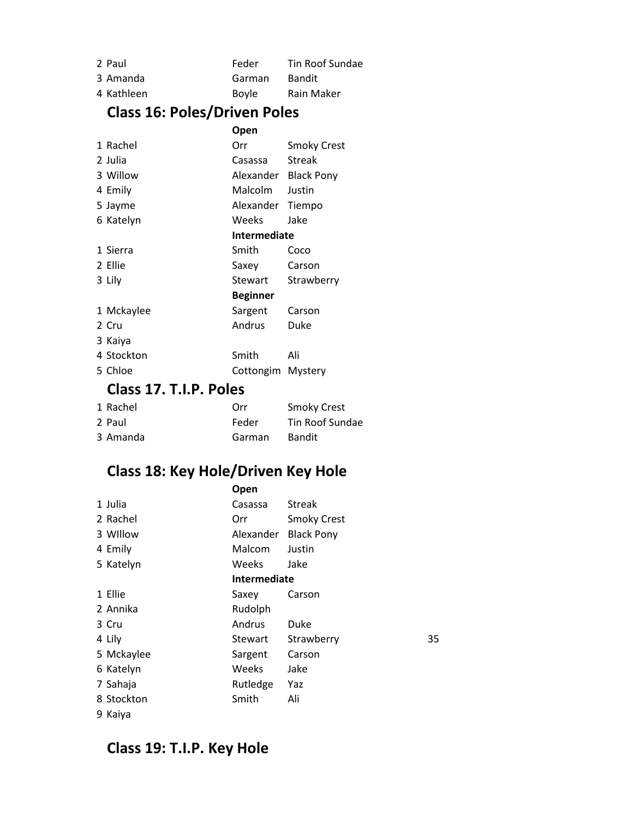| 2 Paul     | Feder        | Tin Roof Sundae |
|------------|--------------|-----------------|
| 3 Amanda   | Garman       | Bandit          |
| 4 Kathleen | <b>Boyle</b> | Rain Maker      |

## **Class 16: Poles/Driven Poles**

|                        | Open              |                      |
|------------------------|-------------------|----------------------|
| 1 Rachel               | Orr               | Smoky Crest          |
| 2 Julia                | Casassa           | <b>Streak</b>        |
| 3 Willow               |                   | Alexander Black Pony |
| 4 Emily                | Malcolm           | Justin               |
| 5 Jayme                | Alexander         | Tiempo               |
| 6 Katelyn              | <b>Weeks</b>      | Jake                 |
|                        | Intermediate      |                      |
| 1 Sierra               | Smith             | Coco                 |
| 2 Ellie                | Saxey             | Carson               |
| 3 Lily                 | Stewart           | Strawberry           |
|                        | Beginner          |                      |
| 1 Mckaylee             | Sargent           | Carson               |
| 2 Cru                  | Andrus            | Duke                 |
| 3 Kaiya                |                   |                      |
| 4 Stockton             | Smith             | Ali                  |
| 5 Chloe                | Cottongim Mystery |                      |
| Class 17. T.I.P. Poles |                   |                      |

| 1 Rachel | Orr    | <b>Smoky Crest</b> |
|----------|--------|--------------------|
| 2 Paul   | Feder  | Tin Roof Sundae    |
| 3 Amanda | Garman | Bandit             |

## **Class 18: Key Hole/Driven Key Hole**

|            | Open         |                    |    |
|------------|--------------|--------------------|----|
| 1 Julia    | Casassa      | <b>Streak</b>      |    |
| 2 Rachel   | Orr.         | <b>Smoky Crest</b> |    |
| 3 Willow   | Alexander    | <b>Black Pony</b>  |    |
| 4 Emily    | Malcom       | Justin             |    |
| 5 Katelyn  | <b>Weeks</b> | Jake               |    |
|            | Intermediate |                    |    |
| 1 Ellie    | Saxey        | Carson             |    |
| 2 Annika   | Rudolph      |                    |    |
| 3 Cru      | Andrus       | Duke               |    |
| 4 Lily     | Stewart      | Strawberry         | 35 |
| 5 Mckaylee | Sargent      | Carson             |    |
| 6 Katelyn  | Weeks        | Jake               |    |
| 7 Sahaja   | Rutledge     | Yaz                |    |
| 8 Stockton | Smith        | Ali                |    |
| 9 Kaiya    |              |                    |    |

## **Class 19: T.I.P. Key Hole**